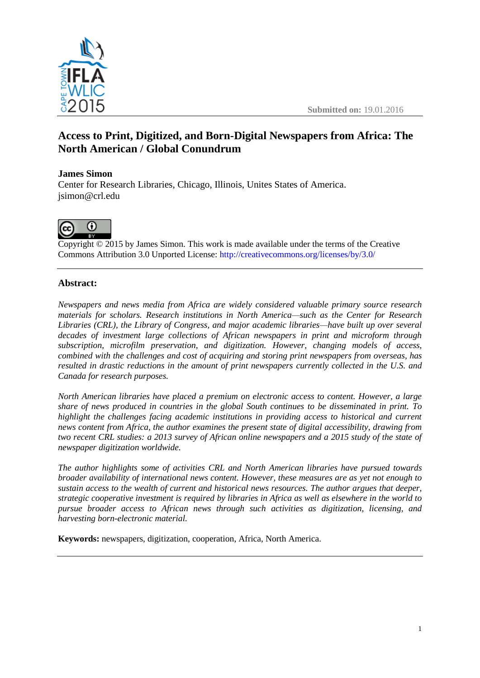

# **Access to Print, Digitized, and Born-Digital Newspapers from Africa: The North American / Global Conundrum**

# **James Simon**

Center for Research Libraries, Chicago, Illinois, Unites States of America. jsimon@crl.edu



Copyright © 2015 by James Simon. This work is made available under the terms of the Creative Commons Attribution 3.0 Unported License: <http://creativecommons.org/licenses/by/3.0/>

# **Abstract:**

*Newspapers and news media from Africa are widely considered valuable primary source research materials for scholars. Research institutions in North America—such as the Center for Research Libraries (CRL), the Library of Congress, and major academic libraries—have built up over several decades of investment large collections of African newspapers in print and microform through subscription, microfilm preservation, and digitization. However, changing models of access, combined with the challenges and cost of acquiring and storing print newspapers from overseas, has resulted in drastic reductions in the amount of print newspapers currently collected in the U.S. and Canada for research purposes.* 

*North American libraries have placed a premium on electronic access to content. However, a large share of news produced in countries in the global South continues to be disseminated in print. To highlight the challenges facing academic institutions in providing access to historical and current news content from Africa, the author examines the present state of digital accessibility, drawing from two recent CRL studies: a 2013 survey of African online newspapers and a 2015 study of the state of newspaper digitization worldwide.* 

*The author highlights some of activities CRL and North American libraries have pursued towards broader availability of international news content. However, these measures are as yet not enough to sustain access to the wealth of current and historical news resources. The author argues that deeper, strategic cooperative investment is required by libraries in Africa as well as elsewhere in the world to pursue broader access to African news through such activities as digitization, licensing, and harvesting born-electronic material.*

**Keywords:** newspapers, digitization, cooperation, Africa, North America.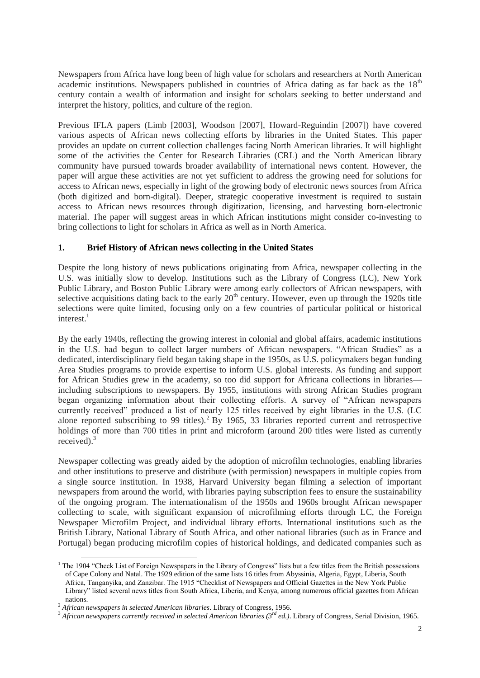Newspapers from Africa have long been of high value for scholars and researchers at North American academic institutions. Newspapers published in countries of Africa dating as far back as the  $18<sup>th</sup>$ century contain a wealth of information and insight for scholars seeking to better understand and interpret the history, politics, and culture of the region.

Previous IFLA papers (Limb [2003], Woodson [2007], Howard-Reguindin [2007]) have covered various aspects of African news collecting efforts by libraries in the United States. This paper provides an update on current collection challenges facing North American libraries. It will highlight some of the activities the Center for Research Libraries (CRL) and the North American library community have pursued towards broader availability of international news content. However, the paper will argue these activities are not yet sufficient to address the growing need for solutions for access to African news, especially in light of the growing body of electronic news sources from Africa (both digitized and born-digital). Deeper, strategic cooperative investment is required to sustain access to African news resources through digitization, licensing, and harvesting born-electronic material. The paper will suggest areas in which African institutions might consider co-investing to bring collections to light for scholars in Africa as well as in North America.

#### **1. Brief History of African news collecting in the United States**

Despite the long history of news publications originating from Africa, newspaper collecting in the U.S. was initially slow to develop. Institutions such as the Library of Congress (LC), New York Public Library, and Boston Public Library were among early collectors of African newspapers, with selective acquisitions dating back to the early  $20<sup>th</sup>$  century. However, even up through the 1920s title selections were quite limited, focusing only on a few countries of particular political or historical interest. $1$ 

By the early 1940s, reflecting the growing interest in colonial and global affairs, academic institutions in the U.S. had begun to collect larger numbers of African newspapers. "African Studies" as a dedicated, interdisciplinary field began taking shape in the 1950s, as U.S. policymakers began funding Area Studies programs to provide expertise to inform U.S. global interests. As funding and support for African Studies grew in the academy, so too did support for Africana collections in libraries including subscriptions to newspapers. By 1955, institutions with strong African Studies program began organizing information about their collecting efforts. A survey of "African newspapers currently received" produced a list of nearly 125 titles received by eight libraries in the U.S. (LC alone reported subscribing to 99 titles).<sup>2</sup> By 1965, 33 libraries reported current and retrospective holdings of more than 700 titles in print and microform (around 200 titles were listed as currently received).<sup>3</sup>

Newspaper collecting was greatly aided by the adoption of microfilm technologies, enabling libraries and other institutions to preserve and distribute (with permission) newspapers in multiple copies from a single source institution. In 1938, Harvard University began filming a selection of important newspapers from around the world, with libraries paying subscription fees to ensure the sustainability of the ongoing program. The internationalism of the 1950s and 1960s brought African newspaper collecting to scale, with significant expansion of microfilming efforts through LC, the Foreign Newspaper Microfilm Project, and individual library efforts. International institutions such as the British Library, National Library of South Africa, and other national libraries (such as in France and Portugal) began producing microfilm copies of historical holdings, and dedicated companies such as

 $\overline{a}$ 

 $1$  The 1904 "Check List of Foreign Newspapers in the Library of Congress" lists but a few titles from the British possessions of Cape Colony and Natal. The 1929 edition of the same lists 16 titles from Abyssinia, Algeria, Egypt, Liberia, South Africa, Tanganyika, and Zanzibar. The 1915 "Checklist of Newspapers and Official Gazettes in the New York Public Library" listed several news titles from South Africa, Liberia, and Kenya, among numerous official gazettes from African nations.

<sup>2</sup> *African newspapers in selected American libraries*. Library of Congress, 1956.

<sup>3</sup> *African newspapers currently received in selected American libraries (3rd ed.)*. Library of Congress, Serial Division, 1965.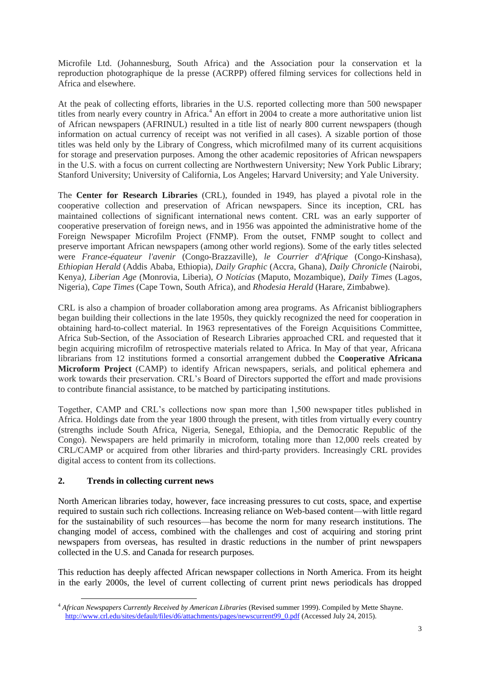Microfile Ltd. (Johannesburg, South Africa) and the Association pour la conservation et la reproduction photographique de la presse (ACRPP) offered filming services for collections held in Africa and elsewhere.

At the peak of collecting efforts, libraries in the U.S. reported collecting more than 500 newspaper titles from nearly every country in Africa.<sup>4</sup> An effort in 2004 to create a more authoritative union list of African newspapers (AFRINUL) resulted in a title list of nearly 800 current newspapers (though information on actual currency of receipt was not verified in all cases). A sizable portion of those titles was held only by the Library of Congress, which microfilmed many of its current acquisitions for storage and preservation purposes. Among the other academic repositories of African newspapers in the U.S. with a focus on current collecting are Northwestern University; New York Public Library; Stanford University; University of California, Los Angeles; Harvard University; and Yale University.

The **Center for Research Libraries** (CRL), founded in 1949, has played a pivotal role in the cooperative collection and preservation of African newspapers. Since its inception, CRL has maintained collections of significant international news content. CRL was an early supporter of cooperative preservation of foreign news, and in 1956 was appointed the administrative home of the Foreign Newspaper Microfilm Project (FNMP). From the outset, FNMP sought to collect and preserve important African newspapers (among other world regions). Some of the early titles selected were *France-équateur l'avenir* (Congo-Brazzaville), *le Courrier d'Afrique* (Congo-Kinshasa), *Ethiopian Herald* (Addis Ababa, Ethiopia), *Daily Graphic* (Accra, Ghana), *Daily Chronicle* (Nairobi, Kenya*), Liberian Age* (Monrovia, Liberia), *O Notícias* (Maputo, Mozambique), *Daily Times* (Lagos, Nigeria), *Cape Times* (Cape Town, South Africa), and *Rhodesia Herald* (Harare, Zimbabwe).

CRL is also a champion of broader collaboration among area programs. As Africanist bibliographers began building their collections in the late 1950s, they quickly recognized the need for cooperation in obtaining hard-to-collect material. In 1963 representatives of the Foreign Acquisitions Committee, Africa Sub-Section, of the Association of Research Libraries approached CRL and requested that it begin acquiring microfilm of retrospective materials related to Africa. In May of that year, Africana librarians from 12 institutions formed a consortial arrangement dubbed the **Cooperative Africana Microform Project** (CAMP) to identify African newspapers, serials, and political ephemera and work towards their preservation. CRL's Board of Directors supported the effort and made provisions to contribute financial assistance, to be matched by participating institutions.

Together, CAMP and CRL's collections now span more than 1,500 newspaper titles published in Africa. Holdings date from the year 1800 through the present, with titles from virtually every country (strengths include South Africa, Nigeria, Senegal, Ethiopia, and the Democratic Republic of the Congo). Newspapers are held primarily in microform, totaling more than 12,000 reels created by CRL/CAMP or acquired from other libraries and third-party providers. Increasingly CRL provides digital access to content from its collections.

### **2. Trends in collecting current news**

North American libraries today, however, face increasing pressures to cut costs, space, and expertise required to sustain such rich collections. Increasing reliance on Web-based content—with little regard for the sustainability of such resources—has become the norm for many research institutions. The changing model of access, combined with the challenges and cost of acquiring and storing print newspapers from overseas, has resulted in drastic reductions in the number of print newspapers collected in the U.S. and Canada for research purposes.

This reduction has deeply affected African newspaper collections in North America. From its height in the early 2000s, the level of current collecting of current print news periodicals has dropped

 $\overline{a}$ <sup>4</sup> *African Newspapers Currently Received by American Libraries* (Revised summer 1999). Compiled by Mette Shayne. [http://www.crl.edu/sites/default/files/d6/attachments/pages/newscurrent99\\_0.pdf](http://www.crl.edu/sites/default/files/d6/attachments/pages/newscurrent99_0.pdf) (Accessed July 24, 2015).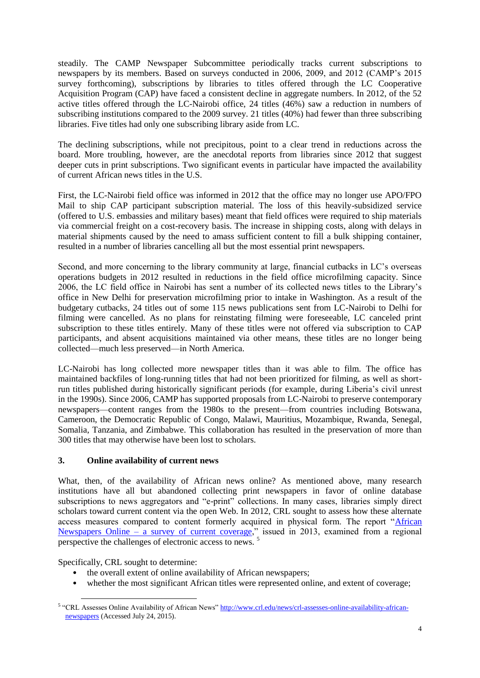steadily. The CAMP Newspaper Subcommittee periodically tracks current subscriptions to newspapers by its members. Based on surveys conducted in 2006, 2009, and 2012 (CAMP's 2015 survey forthcoming), subscriptions by libraries to titles offered through the LC Cooperative Acquisition Program (CAP) have faced a consistent decline in aggregate numbers. In 2012, of the 52 active titles offered through the LC-Nairobi office, 24 titles (46%) saw a reduction in numbers of subscribing institutions compared to the 2009 survey. 21 titles (40%) had fewer than three subscribing libraries. Five titles had only one subscribing library aside from LC.

The declining subscriptions, while not precipitous, point to a clear trend in reductions across the board. More troubling, however, are the anecdotal reports from libraries since 2012 that suggest deeper cuts in print subscriptions. Two significant events in particular have impacted the availability of current African news titles in the U.S.

First, the LC-Nairobi field office was informed in 2012 that the office may no longer use APO/FPO Mail to ship CAP participant subscription material. The loss of this heavily-subsidized service (offered to U.S. embassies and military bases) meant that field offices were required to ship materials via commercial freight on a cost-recovery basis. The increase in shipping costs, along with delays in material shipments caused by the need to amass sufficient content to fill a bulk shipping container, resulted in a number of libraries cancelling all but the most essential print newspapers.

Second, and more concerning to the library community at large, financial cutbacks in LC's overseas operations budgets in 2012 resulted in reductions in the field office microfilming capacity. Since 2006, the LC field office in Nairobi has sent a number of its collected news titles to the Library's office in New Delhi for preservation microfilming prior to intake in Washington. As a result of the budgetary cutbacks, 24 titles out of some 115 news publications sent from LC-Nairobi to Delhi for filming were cancelled. As no plans for reinstating filming were foreseeable, LC canceled print subscription to these titles entirely. Many of these titles were not offered via subscription to CAP participants, and absent acquisitions maintained via other means, these titles are no longer being collected—much less preserved—in North America.

LC-Nairobi has long collected more newspaper titles than it was able to film. The office has maintained backfiles of long-running titles that had not been prioritized for filming, as well as shortrun titles published during historically significant periods (for example, during Liberia's civil unrest in the 1990s). Since 2006, CAMP has supported proposals from LC-Nairobi to preserve contemporary newspapers—content ranges from the 1980s to the present—from countries including Botswana, Cameroon, the Democratic Republic of Congo, Malawi, Mauritius, Mozambique, Rwanda, Senegal, Somalia, Tanzania, and Zimbabwe. This collaboration has resulted in the preservation of more than 300 titles that may otherwise have been lost to scholars.

### **3. Online availability of current news**

What, then, of the availability of African news online? As mentioned above, many research institutions have all but abandoned collecting print newspapers in favor of online database subscriptions to news aggregators and "e-print" collections. In many cases, libraries simply direct scholars toward current content via the open Web. In 2012, CRL sought to assess how these alternate access measures compared to content formerly acquired in physical form. The report ["African](http://www.crl.edu/sites/default/files/d6/attachments/tg/African_online_newspapers_study_2013.pdf)  Newspapers Online – [a survey of current coverage,](http://www.crl.edu/sites/default/files/d6/attachments/tg/African_online_newspapers_study_2013.pdf)" issued in 2013, examined from a regional perspective the challenges of electronic access to news.<sup>5</sup>

Specifically, CRL sought to determine:

- the overall extent of online availability of African newspapers;
- whether the most significant African titles were represented online, and extent of coverage;

 $\overline{a}$ <sup>5</sup> "CRL Assesses Online Availability of African News[" http://www.crl.edu/news/crl-assesses-online-availability-african](http://www.crl.edu/news/crl-assesses-online-availability-african-newspapers)[newspapers](http://www.crl.edu/news/crl-assesses-online-availability-african-newspapers) (Accessed July 24, 2015).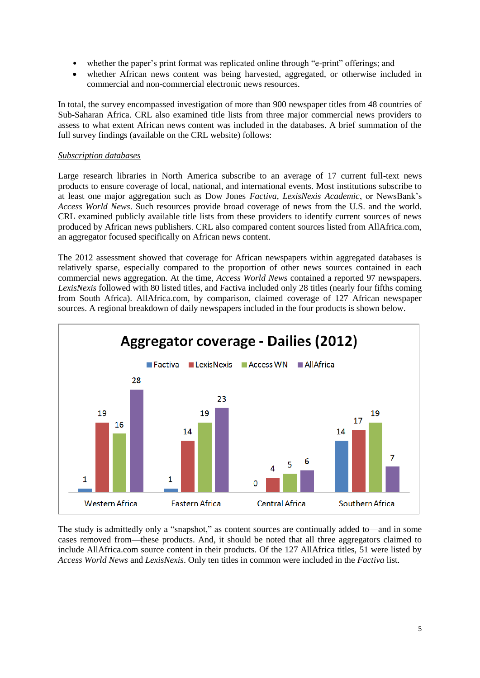- whether the paper's print format was replicated online through "e-print" offerings; and
- whether African news content was being harvested, aggregated, or otherwise included in commercial and non-commercial electronic news resources.

In total, the survey encompassed investigation of more than 900 newspaper titles from 48 countries of Sub-Saharan Africa. CRL also examined title lists from three major commercial news providers to assess to what extent African news content was included in the databases. A brief summation of the full survey findings (available on the CRL website) follows:

#### *Subscription databases*

Large research libraries in North America subscribe to an average of 17 current full-text news products to ensure coverage of local, national, and international events. Most institutions subscribe to at least one major aggregation such as Dow Jones *Factiva*, *LexisNexis Academic*, or NewsBank's *Access World News*. Such resources provide broad coverage of news from the U.S. and the world. CRL examined publicly available title lists from these providers to identify current sources of news produced by African news publishers. CRL also compared content sources listed from AllAfrica.com, an aggregator focused specifically on African news content.

The 2012 assessment showed that coverage for African newspapers within aggregated databases is relatively sparse, especially compared to the proportion of other news sources contained in each commercial news aggregation. At the time, *Access World News* contained a reported 97 newspapers. *LexisNexis* followed with 80 listed titles, and Factiva included only 28 titles (nearly four fifths coming from South Africa). AllAfrica.com, by comparison, claimed coverage of 127 African newspaper sources. A regional breakdown of daily newspapers included in the four products is shown below.



The study is admittedly only a "snapshot," as content sources are continually added to—and in some cases removed from—these products. And, it should be noted that all three aggregators claimed to include AllAfrica.com source content in their products. Of the 127 AllAfrica titles, 51 were listed by *Access World News* and *LexisNexis*. Only ten titles in common were included in the *Factiva* list.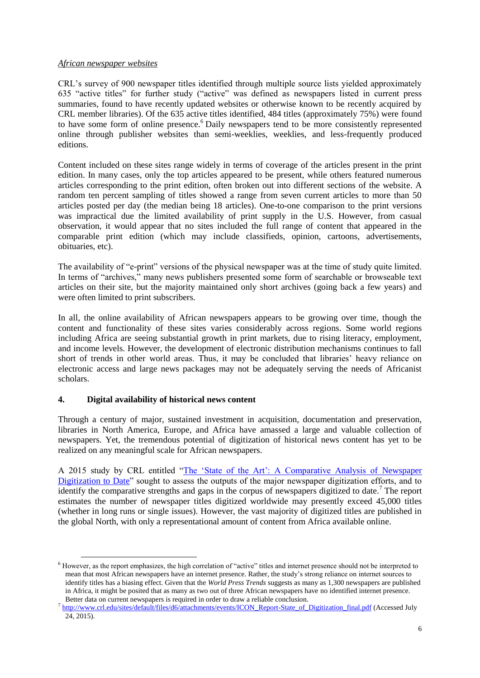#### *African newspaper websites*

CRL's survey of 900 newspaper titles identified through multiple source lists yielded approximately 635 "active titles" for further study ("active" was defined as newspapers listed in current press summaries, found to have recently updated websites or otherwise known to be recently acquired by CRL member libraries). Of the 635 active titles identified, 484 titles (approximately 75%) were found to have some form of online presence.<sup>6</sup> Daily newspapers tend to be more consistently represented online through publisher websites than semi-weeklies, weeklies, and less-frequently produced editions.

Content included on these sites range widely in terms of coverage of the articles present in the print edition. In many cases, only the top articles appeared to be present, while others featured numerous articles corresponding to the print edition, often broken out into different sections of the website. A random ten percent sampling of titles showed a range from seven current articles to more than 50 articles posted per day (the median being 18 articles). One-to-one comparison to the print versions was impractical due the limited availability of print supply in the U.S. However, from casual observation, it would appear that no sites included the full range of content that appeared in the comparable print edition (which may include classifieds, opinion, cartoons, advertisements, obituaries, etc).

The availability of "e-print" versions of the physical newspaper was at the time of study quite limited. In terms of "archives," many news publishers presented some form of searchable or browseable text articles on their site, but the majority maintained only short archives (going back a few years) and were often limited to print subscribers.

In all, the online availability of African newspapers appears to be growing over time, though the content and functionality of these sites varies considerably across regions. Some world regions including Africa are seeing substantial growth in print markets, due to rising literacy, employment, and income levels. However, the development of electronic distribution mechanisms continues to fall short of trends in other world areas. Thus, it may be concluded that libraries' heavy reliance on electronic access and large news packages may not be adequately serving the needs of Africanist scholars.

#### **4. Digital availability of historical news content**

 $\overline{a}$ 

Through a century of major, sustained investment in acquisition, documentation and preservation, libraries in North America, Europe, and Africa have amassed a large and valuable collection of newspapers. Yet, the tremendous potential of digitization of historical news content has yet to be realized on any meaningful scale for African newspapers.

A 2015 study by CRL entitled ["The 'State of the Art': A Comparative Analysis of Newspaper](http://www.crl.edu/sites/default/files/d6/attachments/events/ICON_Report-State_of_Digitization_final.pdf)  [Digitization to Date"](http://www.crl.edu/sites/default/files/d6/attachments/events/ICON_Report-State_of_Digitization_final.pdf) sought to assess the outputs of the major newspaper digitization efforts, and to identify the comparative strengths and gaps in the corpus of newspapers digitized to date.<sup>7</sup> The report estimates the number of newspaper titles digitized worldwide may presently exceed 45,000 titles (whether in long runs or single issues). However, the vast majority of digitized titles are published in the global North, with only a representational amount of content from Africa available online.

<sup>6</sup> However, as the report emphasizes, the high correlation of "active" titles and internet presence should not be interpreted to mean that most African newspapers have an internet presence. Rather, the study's strong reliance on internet sources to identify titles has a biasing effect. Given that the *World Press Trends* suggests as many as 1,300 newspapers are published in Africa, it might be posited that as many as two out of three African newspapers have no identified internet presence. Better data on current newspapers is required in order to draw a reliable conclusion.

<sup>&</sup>lt;sup>7</sup> [http://www.crl.edu/sites/default/files/d6/attachments/events/ICON\\_Report-State\\_of\\_Digitization\\_final.pdf](http://www.crl.edu/sites/default/files/d6/attachments/events/ICON_Report-State_of_Digitization_final.pdf) (Accessed July  $24, 2015$ ).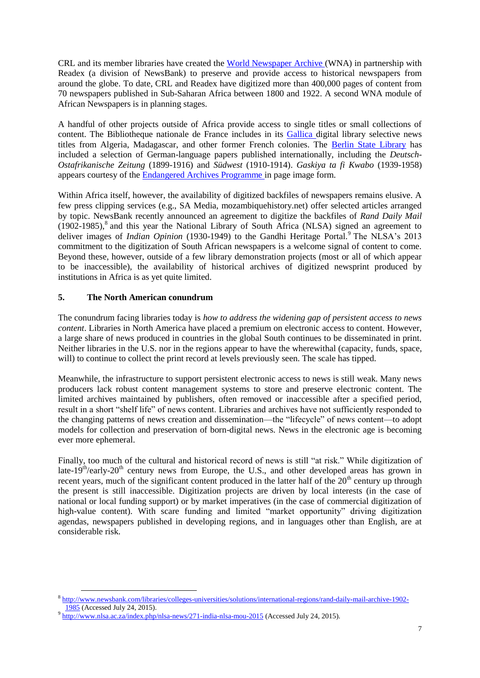CRL and its member libraries have created the [World Newspaper Archive \(](http://www.crl.edu/collaborations/global-resources-partnerships/news/world-newspaper-archive)WNA) in partnership with Readex (a division of NewsBank) to preserve and provide access to historical newspapers from around the globe. To date, CRL and Readex have digitized more than 400,000 pages of content from 70 newspapers published in Sub-Saharan Africa between 1800 and 1922. A second WNA module of African Newspapers is in planning stages.

A handful of other projects outside of Africa provide access to single titles or small collections of content. The Bibliotheque nationale de France includes in its [Gallica d](http://gallica.bnf.fr/html/und/presse-et-revues/presse-et-revues)igital library selective news titles from Algeria, Madagascar, and other former French colonies. The [Berlin State Library](http://zefys.staatsbibliothek-berlin.de/en/) has included a selection of German-language papers published internationally, including the *Deutsch-Ostafrikanische Zeitung* (1899-1916) and *Südwest* (1910-1914). *Gaskiya ta fi Kwabo* (1939-1958) appears courtesy of the [Endangered Archives Programme](http://eap.bl.uk/database/results.a4d?projID=EAP485) in page image form.

Within Africa itself, however, the availability of digitized backfiles of newspapers remains elusive. A few press clipping services (e.g., SA Media, mozambiquehistory.net) offer selected articles arranged by topic. NewsBank recently announced an agreement to digitize the backfiles of *Rand Daily Mail*  $(1902-1985)$ ,<sup>8</sup> and this year the National Library of South Africa (NLSA) signed an agreement to deliver images of *Indian Opinion* (1930-1949) to the Gandhi Heritage Portal.<sup>9</sup> The NLSA's 2013 commitment to the digitization of South African newspapers is a welcome signal of content to come. Beyond these, however, outside of a few library demonstration projects (most or all of which appear to be inaccessible), the availability of historical archives of digitized newsprint produced by institutions in Africa is as yet quite limited.

## **5. The North American conundrum**

 $\overline{a}$ 

The conundrum facing libraries today is *how to address the widening gap of persistent access to news content*. Libraries in North America have placed a premium on electronic access to content. However, a large share of news produced in countries in the global South continues to be disseminated in print. Neither libraries in the U.S. nor in the regions appear to have the wherewithal (capacity, funds, space, will) to continue to collect the print record at levels previously seen. The scale has tipped.

Meanwhile, the infrastructure to support persistent electronic access to news is still weak. Many news producers lack robust content management systems to store and preserve electronic content. The limited archives maintained by publishers, often removed or inaccessible after a specified period, result in a short "shelf life" of news content. Libraries and archives have not sufficiently responded to the changing patterns of news creation and dissemination—the "lifecycle" of news content—to adopt models for collection and preservation of born-digital news. News in the electronic age is becoming ever more ephemeral.

Finally, too much of the cultural and historical record of news is still "at risk." While digitization of late-19<sup>th</sup>/early-20<sup>th</sup> century news from Europe, the U.S., and other developed areas has grown in recent years, much of the significant content produced in the latter half of the  $20<sup>th</sup>$  century up through the present is still inaccessible. Digitization projects are driven by local interests (in the case of national or local funding support) or by market imperatives (in the case of commercial digitization of high-value content). With scare funding and limited "market opportunity" driving digitization agendas, newspapers published in developing regions, and in languages other than English, are at considerable risk.

<sup>8</sup> [http://www.newsbank.com/libraries/colleges-universities/solutions/international-regions/rand-daily-mail-archive-1902-](http://www.newsbank.com/libraries/colleges-universities/solutions/international-regions/rand-daily-mail-archive-1902-1985) [1985](http://www.newsbank.com/libraries/colleges-universities/solutions/international-regions/rand-daily-mail-archive-1902-1985) (Accessed July 24, 2015).

<sup>&</sup>lt;sup>9</sup> <http://www.nlsa.ac.za/index.php/nlsa-news/271-india-nlsa-mou-2015> (Accessed July 24, 2015).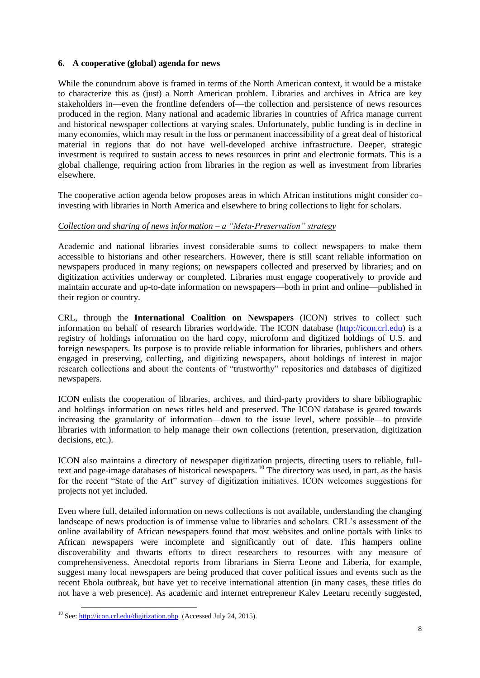#### **6. A cooperative (global) agenda for news**

While the conundrum above is framed in terms of the North American context, it would be a mistake to characterize this as (just) a North American problem. Libraries and archives in Africa are key stakeholders in—even the frontline defenders of—the collection and persistence of news resources produced in the region. Many national and academic libraries in countries of Africa manage current and historical newspaper collections at varying scales. Unfortunately, public funding is in decline in many economies, which may result in the loss or permanent inaccessibility of a great deal of historical material in regions that do not have well-developed archive infrastructure. Deeper, strategic investment is required to sustain access to news resources in print and electronic formats. This is a global challenge, requiring action from libraries in the region as well as investment from libraries elsewhere.

The cooperative action agenda below proposes areas in which African institutions might consider coinvesting with libraries in North America and elsewhere to bring collections to light for scholars.

#### *Collection and sharing of news information – a "Meta-Preservation" strategy*

Academic and national libraries invest considerable sums to collect newspapers to make them accessible to historians and other researchers. However, there is still scant reliable information on newspapers produced in many regions; on newspapers collected and preserved by libraries; and on digitization activities underway or completed. Libraries must engage cooperatively to provide and maintain accurate and up-to-date information on newspapers—both in print and online—published in their region or country.

CRL, through the **International Coalition on Newspapers** (ICON) strives to collect such information on behalf of research libraries worldwide. The ICON database [\(http://icon.crl.edu\)](http://icon.crl.edu/) is a registry of holdings information on the hard copy, microform and digitized holdings of U.S. and foreign newspapers. Its purpose is to provide reliable information for libraries, publishers and others engaged in preserving, collecting, and digitizing newspapers, about holdings of interest in major research collections and about the contents of "trustworthy" repositories and databases of digitized newspapers.

ICON enlists the cooperation of libraries, archives, and third-party providers to share bibliographic and holdings information on news titles held and preserved. The ICON database is geared towards increasing the granularity of information—down to the issue level, where possible—to provide libraries with information to help manage their own collections (retention, preservation, digitization decisions, etc.).

ICON also maintains a directory of newspaper digitization projects, directing users to reliable, fulltext and page-image databases of historical newspapers. <sup>10</sup> The directory was used, in part, as the basis for the recent "State of the Art" survey of digitization initiatives. ICON welcomes suggestions for projects not yet included.

Even where full, detailed information on news collections is not available, understanding the changing landscape of news production is of immense value to libraries and scholars. CRL's assessment of the online availability of African newspapers found that most websites and online portals with links to African newspapers were incomplete and significantly out of date. This hampers online discoverability and thwarts efforts to direct researchers to resources with any measure of comprehensiveness. Anecdotal reports from librarians in Sierra Leone and Liberia, for example, suggest many local newspapers are being produced that cover political issues and events such as the recent Ebola outbreak, but have yet to receive international attention (in many cases, these titles do not have a web presence). As academic and internet entrepreneur Kalev Leetaru recently suggested,

 $\overline{a}$ 

<sup>&</sup>lt;sup>10</sup> See:<http://icon.crl.edu/digitization.php> (Accessed July 24, 2015).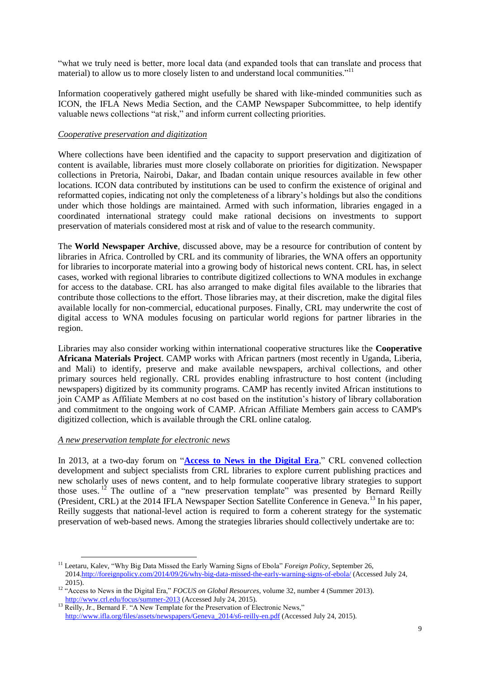"what we truly need is better, more local data (and expanded tools that can translate and process that material) to allow us to more closely listen to and understand local communities."<sup>11</sup>

Information cooperatively gathered might usefully be shared with like-minded communities such as ICON, the IFLA News Media Section, and the CAMP Newspaper Subcommittee, to help identify valuable news collections "at risk," and inform current collecting priorities.

#### *Cooperative preservation and digitization*

Where collections have been identified and the capacity to support preservation and digitization of content is available, libraries must more closely collaborate on priorities for digitization. Newspaper collections in Pretoria, Nairobi, Dakar, and Ibadan contain unique resources available in few other locations. ICON data contributed by institutions can be used to confirm the existence of original and reformatted copies, indicating not only the completeness of a library's holdings but also the conditions under which those holdings are maintained. Armed with such information, libraries engaged in a coordinated international strategy could make rational decisions on investments to support preservation of materials considered most at risk and of value to the research community.

The **World Newspaper Archive**, discussed above, may be a resource for contribution of content by libraries in Africa. Controlled by CRL and its community of libraries, the WNA offers an opportunity for libraries to incorporate material into a growing body of historical news content. CRL has, in select cases, worked with regional libraries to contribute digitized collections to WNA modules in exchange for access to the database. CRL has also arranged to make digital files available to the libraries that contribute those collections to the effort. Those libraries may, at their discretion, make the digital files available locally for non-commercial, educational purposes. Finally, CRL may underwrite the cost of digital access to WNA modules focusing on particular world regions for partner libraries in the region.

Libraries may also consider working within international cooperative structures like the **Cooperative Africana Materials Project**. CAMP works with African partners (most recently in Uganda, Liberia, and Mali) to identify, preserve and make available newspapers, archival collections, and other primary sources held regionally. CRL provides enabling infrastructure to host content (including newspapers) digitized by its community programs. CAMP has recently invited African institutions to join CAMP as Affiliate Members at no cost based on the institution's history of library collaboration and commitment to the ongoing work of CAMP. African Affiliate Members gain access to CAMP's digitized collection, which is available through the CRL online catalog.

#### *A new preservation template for electronic news*

In 2013, at a two-day forum on "**[Access to News in the Digital Era](http://www.crl.edu/fr/events/global-resources-roundtable-beyond-fold-access-news-digital-era)**," CRL convened collection development and subject specialists from CRL libraries to explore current publishing practices and new scholarly uses of news content, and to help formulate cooperative library strategies to support those uses. <sup>12</sup> The outline of a "new preservation template" was presented by Bernard Reilly (President, CRL) at the 2014 IFLA Newspaper Section Satellite Conference in Geneva.<sup>13</sup> In his paper, Reilly suggests that national-level action is required to form a coherent strategy for the systematic preservation of web-based news. Among the strategies libraries should collectively undertake are to:

 $\overline{a}$ <sup>11</sup> Leetaru, Kalev, "Why Big Data Missed the Early Warning Signs of Ebola" *Foreign Policy*, September 26, 201[4.http://foreignpolicy.com/2014/09/26/why-big-data-missed-the-early-warning-signs-of-ebola/](http://foreignpolicy.com/2014/09/26/why-big-data-missed-the-early-warning-signs-of-ebola/) (Accessed July 24, 2015).

<sup>&</sup>lt;sup>12</sup> "Access to News in the Digital Era," *FOCUS on Global Resources*, volume 32, number 4 (Summer 2013). <http://www.crl.edu/focus/summer-2013> (Accessed July 24, 2015).

<sup>&</sup>lt;sup>13</sup> Reilly, Jr., Bernard F. "A New Template for the Preservation of Electronic News," [http://www.ifla.org/files/assets/newspapers/Geneva\\_2014/s6-reilly-en.pdf](http://www.ifla.org/files/assets/newspapers/Geneva_2014/s6-reilly-en.pdf) (Accessed July 24, 2015).